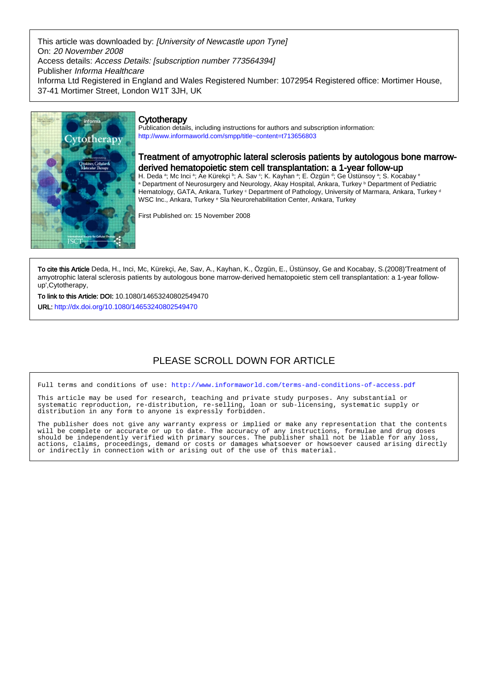This article was downloaded by: [University of Newcastle upon Tyne] On: 20 November 2008 Access details: Access Details: [subscription number 773564394] Publisher Informa Healthcare Informa Ltd Registered in England and Wales Registered Number: 1072954 Registered office: Mortimer House, 37-41 Mortimer Street, London W1T 3JH, UK



## **Cytotherapy**

Publication details, including instructions for authors and subscription information: <http://www.informaworld.com/smpp/title~content=t713656803>

## Treatment of amyotrophic lateral sclerosis patients by autologous bone marrowderived hematopoietic stem cell transplantation: a 1-year follow-up

H. Deda ª; Mc Inci ª; Ae Kürekçi ʰ; A. Sav º; K. Kayhan ª; E. Ozgün ª; Ge Ustünsoy ª; S. Kocabay ª <sup>a</sup> Department of Neurosurgery and Neurology, Akay Hospital, Ankara, Turkey **b Department of Pediatric** Hematology, GATA, Ankara, Turkey <sup>c</sup> Department of Pathology, University of Marmara, Ankara, Turkey <sup>d</sup> WSC Inc., Ankara, Turkey <sup>e</sup> Sla Neurorehabilitation Center, Ankara, Turkey

First Published on: 15 November 2008

To cite this Article Deda, H., Inci, Mc, Kürekçi, Ae, Sav, A., Kayhan, K., Özgün, E., Üstünsoy, Ge and Kocabay, S.(2008)'Treatment of amyotrophic lateral sclerosis patients by autologous bone marrow-derived hematopoietic stem cell transplantation: a 1-year followup',Cytotherapy,

To link to this Article: DOI: 10.1080/14653240802549470

URL: <http://dx.doi.org/10.1080/14653240802549470>

## PLEASE SCROLL DOWN FOR ARTICLE

Full terms and conditions of use:<http://www.informaworld.com/terms-and-conditions-of-access.pdf>

This article may be used for research, teaching and private study purposes. Any substantial or systematic reproduction, re-distribution, re-selling, loan or sub-licensing, systematic supply or distribution in any form to anyone is expressly forbidden.

The publisher does not give any warranty express or implied or make any representation that the contents will be complete or accurate or up to date. The accuracy of any instructions, formulae and drug doses should be independently verified with primary sources. The publisher shall not be liable for any loss, actions, claims, proceedings, demand or costs or damages whatsoever or howsoever caused arising directly or indirectly in connection with or arising out of the use of this material.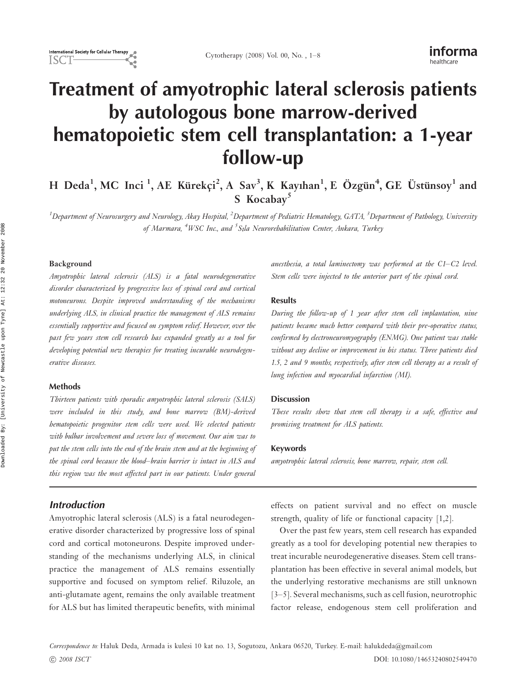# Treatment of amyotrophic lateral sclerosis patients by autologous bone marrow-derived hematopoietic stem cell transplantation: a 1-year follow-up

H Deda<sup>1</sup>, MC Inci <sup>1</sup>, AE Kürekçi<sup>2</sup>, A Sav<sup>3</sup>, K Kayıhan<sup>1</sup>, E Özgün<sup>4</sup>, GE Üstünsoy<sup>1</sup> and S Kocabay<sup>5</sup>

 $^1$ Department of Neurosurgery and Neurology, Akay Hospital,  $^2$ Department of Pediatric Hematology, GATA,  $^3$ Department of Pathology, University of Marmara, <sup>4</sup>WSC Inc., and <sup>5</sup>Sıla Neurorehabilitation Center, Ankara, Turkey

## Background

Amyotrophic lateral sclerosis (ALS) is a fatal neurodegenerative disorder characterized by progressive loss of spinal cord and cortical motoneurons. Despite improved understanding of the mechanisms underlying ALS, in clinical practice the management of ALS remains essentially supportive and focused on symptom relief. However, over the past few years stem cell research has expanded greatly as a tool for developing potential new therapies for treating incurable neurodegenerative diseases.

#### Methods

Thirteen patients with sporadic amyotrophic lateral sclerosis (SALS) were included in this study, and bone marrow (BM)-derived hematopoietic progenitor stem cells were used. We selected patients with bulbar involvement and severe loss of movement. Our aim was to put the stem cells into the end of the brain stem and at the beginning of the spinal cord because the blood-brain barrier is intact in ALS and this region was the most affected part in our patients. Under general

## **Introduction**

Amyotrophic lateral sclerosis (ALS) is a fatal neurodegenerative disorder characterized by progressive loss of spinal cord and cortical motoneurons. Despite improved understanding of the mechanisms underlying ALS, in clinical practice the management of ALS remains essentially supportive and focused on symptom relief. Riluzole, an anti-glutamate agent, remains the only available treatment for ALS but has limited therapeutic benefits, with minimal anesthesia, a total laminectomy was performed at the  $C1-C2$  level. Stem cells were injected to the anterior part of the spinal cord.

#### Results

During the follow-up of 1 year after stem cell implantation, nine patients became much better compared with their pre-operative status, confirmed by electroneuromyography (ENMG). One patient was stable without any decline or improvement in his status. Three patients died 1.5, 2 and 9 months, respectively, after stem cell therapy as a result of lung infection and myocardial infarction (MI).

#### Discussion

These results show that stem cell therapy is a safe, effective and promising treatment for ALS patients.

#### Keywords

amyotrophic lateral sclerosis, bone marrow, repair, stem cell.

effects on patient survival and no effect on muscle strength, quality of life or functional capacity [1,2].

Over the past few years, stem cell research has expanded greatly as a tool for developing potential new therapies to treat incurable neurodegenerative diseases. Stem cell transplantation has been effective in several animal models, but the underlying restorative mechanisms are still unknown [3-5]. Several mechanisms, such as cell fusion, neurotrophic factor release, endogenous stem cell proliferation and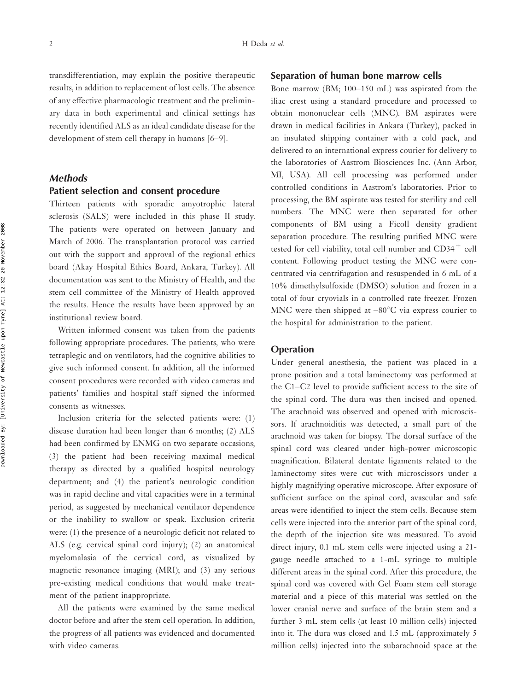transdifferentiation, may explain the positive therapeutic results, in addition to replacement of lost cells. The absence of any effective pharmacologic treatment and the preliminary data in both experimental and clinical settings has recently identified ALS as an ideal candidate disease for the development of stem cell therapy in humans  $[6-9]$ .

## Methods

#### Patient selection and consent procedure

Thirteen patients with sporadic amyotrophic lateral sclerosis (SALS) were included in this phase II study. The patients were operated on between January and March of 2006. The transplantation protocol was carried out with the support and approval of the regional ethics board (Akay Hospital Ethics Board, Ankara, Turkey). All documentation was sent to the Ministry of Health, and the stem cell committee of the Ministry of Health approved the results. Hence the results have been approved by an institutional review board.

Written informed consent was taken from the patients following appropriate procedures. The patients, who were tetraplegic and on ventilators, had the cognitive abilities to give such informed consent. In addition, all the informed consent procedures were recorded with video cameras and patients' families and hospital staff signed the informed consents as witnesses.

Inclusion criteria for the selected patients were: (1) disease duration had been longer than 6 months; (2) ALS had been confirmed by ENMG on two separate occasions; (3) the patient had been receiving maximal medical therapy as directed by a qualified hospital neurology department; and (4) the patient's neurologic condition was in rapid decline and vital capacities were in a terminal period, as suggested by mechanical ventilator dependence or the inability to swallow or speak. Exclusion criteria were: (1) the presence of a neurologic deficit not related to ALS (e.g. cervical spinal cord injury); (2) an anatomical myelomalasia of the cervical cord, as visualized by magnetic resonance imaging (MRI); and (3) any serious pre-existing medical conditions that would make treatment of the patient inappropriate.

All the patients were examined by the same medical doctor before and after the stem cell operation. In addition, the progress of all patients was evidenced and documented with video cameras.

## Separation of human bone marrow cells

Bone marrow (BM;  $100-150$  mL) was aspirated from the iliac crest using a standard procedure and processed to obtain mononuclear cells (MNC). BM aspirates were drawn in medical facilities in Ankara (Turkey), packed in an insulated shipping container with a cold pack, and delivered to an international express courier for delivery to the laboratories of Aastrom Biosciences Inc. (Ann Arbor, MI, USA). All cell processing was performed under controlled conditions in Aastrom's laboratories. Prior to processing, the BM aspirate was tested for sterility and cell numbers. The MNC were then separated for other components of BM using a Ficoll density gradient separation procedure. The resulting purified MNC were tested for cell viability, total cell number and CD34<sup>+</sup> cell content. Following product testing the MNC were concentrated via centrifugation and resuspended in 6 mL of a 10% dimethylsulfoxide (DMSO) solution and frozen in a total of four cryovials in a controlled rate freezer. Frozen MNC were then shipped at  $-80^{\circ}$ C via express courier to the hospital for administration to the patient.

### **Operation**

Under general anesthesia, the patient was placed in a prone position and a total laminectomy was performed at the C1-C2 level to provide sufficient access to the site of the spinal cord. The dura was then incised and opened. The arachnoid was observed and opened with microscissors. If arachnoiditis was detected, a small part of the arachnoid was taken for biopsy. The dorsal surface of the spinal cord was cleared under high-power microscopic magnification. Bilateral dentate ligaments related to the laminectomy sites were cut with microscissors under a highly magnifying operative microscope. After exposure of sufficient surface on the spinal cord, avascular and safe areas were identified to inject the stem cells. Because stem cells were injected into the anterior part of the spinal cord, the depth of the injection site was measured. To avoid direct injury, 0.1 mL stem cells were injected using a 21 gauge needle attached to a 1-mL syringe to multiple different areas in the spinal cord. After this procedure, the spinal cord was covered with Gel Foam stem cell storage material and a piece of this material was settled on the lower cranial nerve and surface of the brain stem and a further 3 mL stem cells (at least 10 million cells) injected into it. The dura was closed and 1.5 mL (approximately 5 million cells) injected into the subarachnoid space at the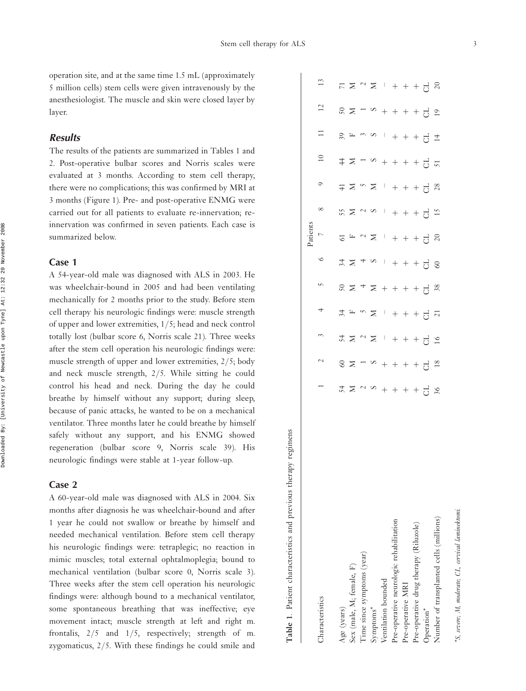\*S, severe; M, moderate; CL, cervical laminektomi.

 $\tilde{S}$ 

severe; M, moderate; CL, cervical laminektomi

operation site, and at the same time 1.5 mL (approximately 5 million cells) stem cells were given intravenously by the anesthesiologist. The muscle and skin were closed layer by layer.

## **Results**

The results of the patients are summarized in Tables 1 and 2. Post-operative bulbar scores and Norris scales were evaluated at 3 months. According to stem cell therapy, there were no complications; this was confirmed by MRI at 3 months (Figure 1). Pre- and post-operative ENMG were carried out for all patients to evaluate re-innervation; reinnervation was confirmed in seven patients. Each case is summarized below.

#### Case 1

A 54-year-old male was diagnosed with ALS in 2003. He was wheelchair-bound in 2005 and had been ventilating mechanically for 2 months prior to the study. Before stem cell therapy his neurologic findings were: muscle strength of upper and lower extremities, 1/5; head and neck control totally lost (bulbar score 6, Norris scale 21). Three weeks after the stem cell operation his neurologic findings were: muscle strength of upper and lower extremities, 2/5; body and neck muscle strength, 2/5. While sitting he could control his head and neck. During the day he could breathe by himself without any support; during sleep, because of panic attacks, he wanted to be on a mechanical ventilator. Three months later he could breathe by himself safely without any support, and his ENMG showed regeneration (bulbar score 9, Norris scale 39). His neurologic findings were stable at 1-year follow-up.

## Case 2

A 60-year-old male was diagnosed with ALS in 2004. Six months after diagnosis he was wheelchair-bound and after 1 year he could not swallow or breathe by himself and needed mechanical ventilation. Before stem cell therapy his neurologic findings were: tetraplegic; no reaction in mimic muscles; total external ophtalmoplegia; bound to mechanical ventilation (bulbar score 0, Norris scale 3). Three weeks after the stem cell operation his neurologic findings were: although bound to a mechanical ventilator, some spontaneous breathing that was ineffective; eye movement intact; muscle strength at left and right m. frontalis, 2/5 and 1/5, respectively; strength of m. zygomaticus, 2/5. With these findings he could smile and

|                                         |                   |                               |                                                  |                            |                                        |                  | Patients                 |               |                      |                 |                   |                               |                       |
|-----------------------------------------|-------------------|-------------------------------|--------------------------------------------------|----------------------------|----------------------------------------|------------------|--------------------------|---------------|----------------------|-----------------|-------------------|-------------------------------|-----------------------|
| Characteristics                         |                   | $\sim$                        | $\tilde{\phantom{0}}$                            | 4                          | S                                      | $\circ$          | $\overline{\phantom{0}}$ | $\infty$      | $\circ$              | $\overline{10}$ | $\Box$            | 12                            | 13                    |
| Age (years)                             |                   |                               |                                                  | 34                         |                                        |                  |                          |               |                      |                 |                   |                               |                       |
| Sex (male, M; female, F)                | $45290 + + + + +$ | $\frac{8}{2}$                 | $\mathbb{Z} \times \mathbb{Z} \times \mathbb{Z}$ | $\square$                  | $\frac{20}{5}$                         | $\approx$ $\geq$ | $5\sigma$                | 5529          | $\pm$ $\geq$         | $\ddot{z}$      | $\frac{5}{6}$ E   | $\frac{2}{2}$                 | $7 \times 7 \times$   |
| Time since symptoms (year)              |                   |                               |                                                  | $\sim$ $\geq$              | $_{+}$ $\geq$                          | $4\,$ $\circ$    | $\sim$ $\geq$            |               |                      |                 | $\omega$ $\infty$ |                               |                       |
| Symptoms*                               |                   |                               |                                                  |                            |                                        |                  |                          |               | $\sim$ $\geq$        |                 |                   |                               |                       |
| Ventilation bounded                     |                   |                               |                                                  | $\mathbb{I}$               |                                        | $\pm$            | $\pm 1$                  |               | $\mathbb{I}$         |                 | $\mathbb{F}_q$    |                               |                       |
| Pre-operative neurologic rehabilitation |                   | $-8$ $-8$ + + + + + $-1$ $-8$ | $+ + + +$                                        |                            | $+ + + + + \frac{1}{9}$ $\frac{1}{10}$ |                  |                          | $+ + + +$ 5.5 |                      | $-8 + + + +$    |                   | $-8$ + + + + + + $-3$ $\circ$ | $+ + + +$ 5 $\approx$ |
| Pre-operative MRI                       |                   |                               |                                                  |                            |                                        |                  |                          |               |                      |                 |                   |                               |                       |
| Pre-operative drug therapy (Riluzole)   |                   |                               |                                                  | $+ + + +$ 5 $\overline{a}$ |                                        | + + + 5          | $+ + + +$ $ \approx$     |               | $+ + + +$ $ \approx$ |                 | + + + 5 #         |                               |                       |
| Operation*                              |                   |                               |                                                  |                            |                                        |                  |                          |               |                      |                 |                   |                               |                       |
| Number of transplanted cells (millions) |                   |                               | 16                                               |                            |                                        | 60               |                          |               |                      | $\overline{5}$  |                   |                               |                       |
|                                         |                   |                               |                                                  |                            |                                        |                  |                          |               |                      |                 |                   |                               |                       |

Table 1. Patient characteristics and previous therapy regimens

Table 1. Patient characteristics and previous therapy regimens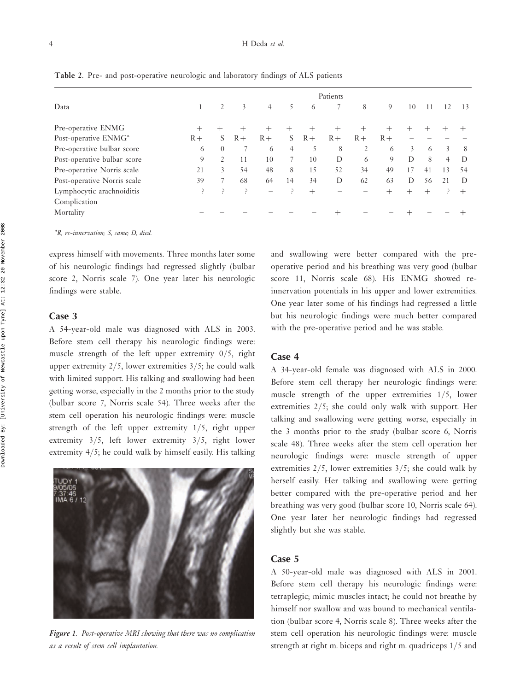#### 4 H Deda et al.

|                             |      |                |      |                |                |        | Patients |      |        |    |    |                |        |
|-----------------------------|------|----------------|------|----------------|----------------|--------|----------|------|--------|----|----|----------------|--------|
| Data                        |      | $\overline{2}$ | 3    | $\overline{4}$ | 5              | 6      |          | 8    | 9      | 10 | 11 | 12             | 13     |
| Pre-operative ENMG          | +    |                |      | $^{+}$         |                |        |          |      |        |    |    |                |        |
| Post-operative ENMG*        | $R+$ | S              | $R+$ | $R+$           | S              | $R+$   | $R+$     | $R+$ | $R+$   |    |    |                |        |
| Pre-operative bulbar score  | 6    | $\Omega$       |      | 6              | $\overline{4}$ | 5      | 8        | 2    | 6      | 3  | 6  | 3              | 8      |
| Post-operative bulbar score | 9    | 2              | 11   | 10             |                | 10     | D        | 6    | 9      | D  | 8  | $\overline{4}$ | D      |
| Pre-operative Norris scale  | 21   | 3              | 54   | 48             | 8              | 15     | 52       | 34   | 49     | 17 | 41 | 13             | 54     |
| Post-operative Norris scale | 39   | 7              | 68   | 64             | 14             | 34     | D        | 62   | 63     | D  | 56 | 21             | D      |
| Lymphocytic arachnoiditis   | ۹.   | م              | ?    | -              | 3              | $^{+}$ |          |      | $^{+}$ |    |    |                | $^{+}$ |
| Complication                |      |                |      |                |                |        |          |      |        |    |    |                |        |
| Mortality                   |      |                |      |                |                |        |          |      |        |    |    |                |        |

Table 2. Pre- and post-operative neurologic and laboratory findings of ALS patients

\*R, re-innervation; S, same; D, died.

express himself with movements. Three months later some of his neurologic findings had regressed slightly (bulbar score 2, Norris scale 7). One year later his neurologic findings were stable.

#### Case 3

A 54-year-old male was diagnosed with ALS in 2003. Before stem cell therapy his neurologic findings were: muscle strength of the left upper extremity 0/5, right upper extremity  $2/5$ , lower extremities  $3/5$ ; he could walk with limited support. His talking and swallowing had been getting worse, especially in the 2 months prior to the study (bulbar score 7, Norris scale 54). Three weeks after the stem cell operation his neurologic findings were: muscle strength of the left upper extremity 1/5, right upper extremity 3/5, left lower extremity 3/5, right lower extremity 4/5; he could walk by himself easily. His talking



Figure 1. Post-operative MRI showing that there was no complication as a result of stem cell implantation.

and swallowing were better compared with the preoperative period and his breathing was very good (bulbar score 11, Norris scale 68). His ENMG showed reinnervation potentials in his upper and lower extremities. One year later some of his findings had regressed a little but his neurologic findings were much better compared with the pre-operative period and he was stable.

#### Case 4

A 34-year-old female was diagnosed with ALS in 2000. Before stem cell therapy her neurologic findings were: muscle strength of the upper extremities 1/5, lower extremities 2/5; she could only walk with support. Her talking and swallowing were getting worse, especially in the 3 months prior to the study (bulbar score 6, Norris scale 48). Three weeks after the stem cell operation her neurologic findings were: muscle strength of upper extremities 2/5, lower extremities 3/5; she could walk by herself easily. Her talking and swallowing were getting better compared with the pre-operative period and her breathing was very good (bulbar score 10, Norris scale 64). One year later her neurologic findings had regressed slightly but she was stable.

## Case 5

A 50-year-old male was diagnosed with ALS in 2001. Before stem cell therapy his neurologic findings were: tetraplegic; mimic muscles intact; he could not breathe by himself nor swallow and was bound to mechanical ventilation (bulbar score 4, Norris scale 8). Three weeks after the stem cell operation his neurologic findings were: muscle strength at right m. biceps and right m. quadriceps 1/5 and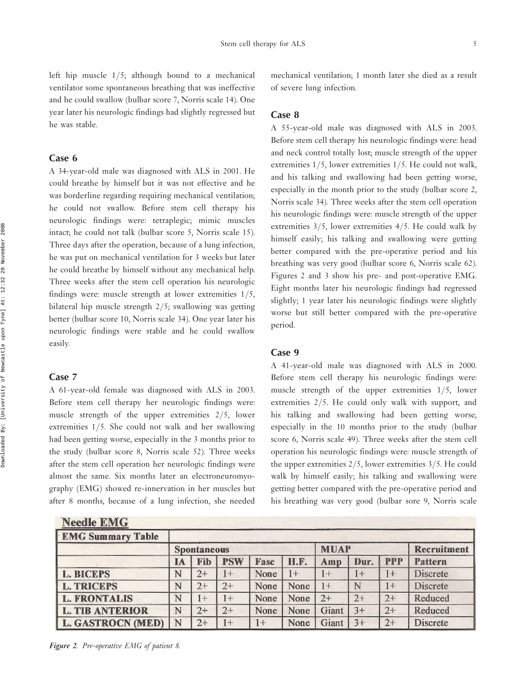left hip muscle 1/5; although bound to a mechanical ventilator some spontaneous breathing that was ineffective and he could swallow (bulbar score 7, Norris scale 14). One year later his neurologic findings had slightly regressed but he was stable.

#### Case 6

A 34-year-old male was diagnosed with ALS in 2001. He could breathe by himself but it was not effective and he was borderline regarding requiring mechanical ventilation; he could not swallow. Before stem cell therapy his neurologic findings were: tetraplegic; mimic muscles intact; he could not talk (bulbar score 5, Norris scale 15). Three days after the operation, because of a lung infection, he was put on mechanical ventilation for 3 weeks but later he could breathe by himself without any mechanical help. Three weeks after the stem cell operation his neurologic findings were: muscle strength at lower extremities 1/5, bilateral hip muscle strength 2/5; swallowing was getting better (bulbar score 10, Norris scale 34). One year later his neurologic findings were stable and he could swallow easily.

#### Case 7

A 61-year-old female was diagnosed with ALS in 2003. Before stem cell therapy her neurologic findings were: muscle strength of the upper extremities 2/5, lower extremities 1/5. She could not walk and her swallowing had been getting worse, especially in the 3 months prior to the study (bulbar score 8, Norris scale 52). Three weeks after the stem cell operation her neurologic findings were almost the same. Six months later an electroneuromyography (EMG) showed re-innervation in her muscles but after 8 months, because of a lung infection, she needed

mechanical ventilation; 1 month later she died as a result of severe lung infection.

## Case 8

A 55-year-old male was diagnosed with ALS in 2003. Before stem cell therapy his neurologic findings were: head and neck control totally lost; muscle strength of the upper extremities 1/5, lower extremities 1/5. He could not walk, and his talking and swallowing had been getting worse, especially in the month prior to the study (bulbar score 2, Norris scale 34). Three weeks after the stem cell operation his neurologic findings were: muscle strength of the upper extremities 3/5, lower extremities 4/5. He could walk by himself easily; his talking and swallowing were getting better compared with the pre-operative period and his breathing was very good (bulbar score 6, Norris scale 62). Figures 2 and 3 show his pre- and post-operative EMG. Eight months later his neurologic findings had regressed slightly; 1 year later his neurologic findings were slightly worse but still better compared with the pre-operative period.

## Case 9

A 41-year-old male was diagnosed with ALS in 2000. Before stem cell therapy his neurologic findings were: muscle strength of the upper extremities 1/5, lower extremities 2/5. He could only walk with support, and his talking and swallowing had been getting worse, especially in the 10 months prior to the study (bulbar score 6, Norris scale 49). Three weeks after the stem cell operation his neurologic findings were: muscle strength of the upper extremities 2/5, lower extremities 3/5. He could walk by himself easily; his talking and swallowing were getting better compared with the pre-operative period and his breathing was very good (bulbar sore 9, Norris scale

| Needle EMG               |    |                    |            |      |      |             |      |            |                    |
|--------------------------|----|--------------------|------------|------|------|-------------|------|------------|--------------------|
| <b>EMG Summary Table</b> |    |                    |            |      |      |             |      |            |                    |
|                          |    | <b>Spontaneous</b> |            |      |      | <b>MUAP</b> |      |            | <b>Recruitment</b> |
|                          | IA | Fib                | <b>PSW</b> | Fasc | H.F. | Amp         | Dur. | <b>PPP</b> | Pattern            |
| <b>L. BICEPS</b>         | N  | 2+                 | $1+$       | None | $1+$ | $+$         | $1+$ | $1+$       | <b>Discrete</b>    |
| <b>L. TRICEPS</b>        | N  | $2+$               | $2+$       | None | None | $1+$        | N    | $1+$       | <b>Discrete</b>    |
| <b>L. FRONTALIS</b>      | N  | $1+$               | $1+$       | None | None | $2+$        | $2+$ | $2+$       | Reduced            |
| <b>L. TIB ANTERIOR</b>   | N  | $2+$               | $2+$       | None | None | Giant       | $3+$ | $2+$       | Reduced            |
| <b>L. GASTROCN (MED)</b> | N  | $2+$               | $1+$       | $1+$ | None | Giant       | $3+$ | $2+$       | Discrete           |

Figure 2. Pre-operative EMG of patient 8.

 $\mathbf{H}$   $\mathbf{H}$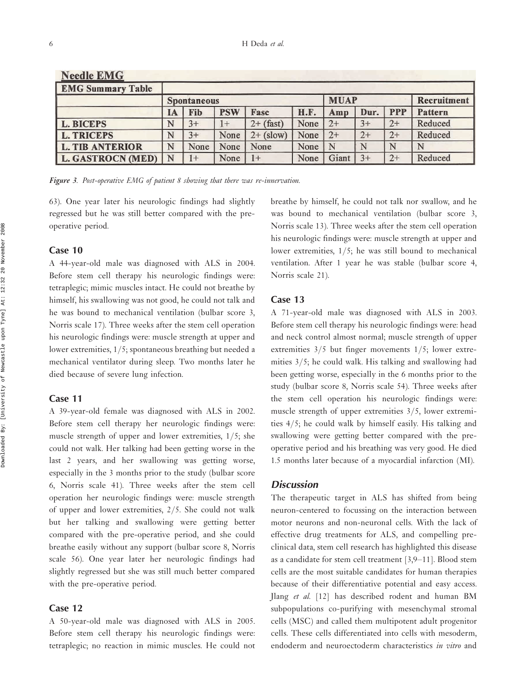| <b>Needle EMG</b>        |    |                    |            |             |             |             |      |            |                    |
|--------------------------|----|--------------------|------------|-------------|-------------|-------------|------|------------|--------------------|
| <b>EMG Summary Table</b> |    |                    |            |             |             |             |      |            |                    |
|                          |    | <b>Spontaneous</b> |            |             |             | <b>MUAP</b> |      |            | <b>Recruitment</b> |
|                          | IA | Fib                | <b>PSW</b> | Fasc        | <b>H.F.</b> | Amp         | Dur. | <b>PPP</b> | Pattern            |
| <b>L. BICEPS</b>         | N  | $3+$               | $^{1+}$    | $2+$ (fast) | None        | $2+$        | $3+$ | $2+$       | Reduced            |
| <b>L. TRICEPS</b>        | N  | $3+$               | None       | $2+$ (slow) | None        | $2+$        | $2+$ | $2+$       | Reduced            |
| <b>L. TIB ANTERIOR</b>   | N  | None               | None       | None        | None        | N           | N    | N          |                    |
| <b>L. GASTROCN (MED)</b> | N  | $^{1+}$            | None       | $1+$        | None        | Giant       | $3+$ | $2+$       | Reduced            |

Figure 3. Post-operative EMG of patient 8 showing that there was re-innervation.

63). One year later his neurologic findings had slightly regressed but he was still better compared with the preoperative period.

## Case 10

A 44-year-old male was diagnosed with ALS in 2004. Before stem cell therapy his neurologic findings were: tetraplegic; mimic muscles intact. He could not breathe by himself, his swallowing was not good, he could not talk and he was bound to mechanical ventilation (bulbar score 3, Norris scale 17). Three weeks after the stem cell operation his neurologic findings were: muscle strength at upper and lower extremities, 1/5; spontaneous breathing but needed a mechanical ventilator during sleep. Two months later he died because of severe lung infection.

#### Case 11

A 39-year-old female was diagnosed with ALS in 2002. Before stem cell therapy her neurologic findings were: muscle strength of upper and lower extremities, 1/5; she could not walk. Her talking had been getting worse in the last 2 years, and her swallowing was getting worse, especially in the 3 months prior to the study (bulbar score 6, Norris scale 41). Three weeks after the stem cell operation her neurologic findings were: muscle strength of upper and lower extremities, 2/5. She could not walk but her talking and swallowing were getting better compared with the pre-operative period, and she could breathe easily without any support (bulbar score 8, Norris scale 56). One year later her neurologic findings had slightly regressed but she was still much better compared with the pre-operative period.

## Case 12

A 50-year-old male was diagnosed with ALS in 2005. Before stem cell therapy his neurologic findings were: tetraplegic; no reaction in mimic muscles. He could not breathe by himself, he could not talk nor swallow, and he was bound to mechanical ventilation (bulbar score 3, Norris scale 13). Three weeks after the stem cell operation his neurologic findings were: muscle strength at upper and lower extremities, 1/5; he was still bound to mechanical ventilation. After 1 year he was stable (bulbar score 4, Norris scale 21).

## Case 13

A 71-year-old male was diagnosed with ALS in 2003. Before stem cell therapy his neurologic findings were: head and neck control almost normal; muscle strength of upper extremities 3/5 but finger movements 1/5; lower extremities 3/5; he could walk. His talking and swallowing had been getting worse, especially in the 6 months prior to the study (bulbar score 8, Norris scale 54). Three weeks after the stem cell operation his neurologic findings were: muscle strength of upper extremities 3/5, lower extremities 4/5; he could walk by himself easily. His talking and swallowing were getting better compared with the preoperative period and his breathing was very good. He died 1.5 months later because of a myocardial infarction (MI).

## **Discussion**

The therapeutic target in ALS has shifted from being neuron-centered to focussing on the interaction between motor neurons and non-neuronal cells. With the lack of effective drug treatments for ALS, and compelling preclinical data, stem cell research has highlighted this disease as a candidate for stem cell treatment  $[3,9-11]$ . Blood stem cells are the most suitable candidates for human therapies because of their differentiative potential and easy access. Jlang et al. [12] has described rodent and human BM subpopulations co-purifying with mesenchymal stromal cells (MSC) and called them multipotent adult progenitor cells. These cells differentiated into cells with mesoderm, endoderm and neuroectoderm characteristics in vitro and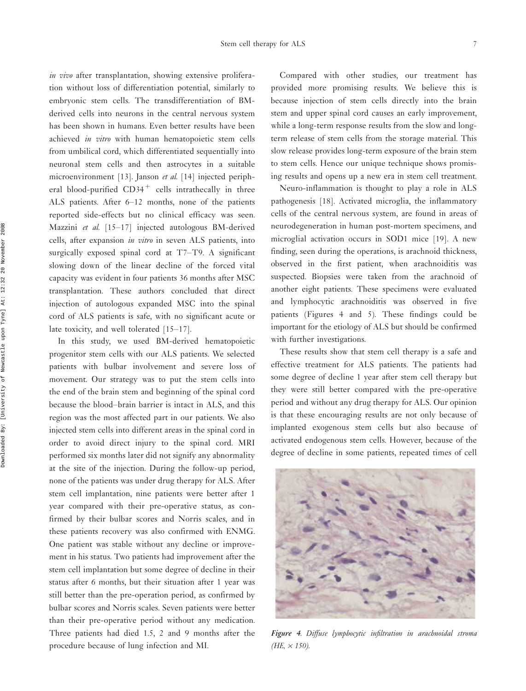in vivo after transplantation, showing extensive proliferation without loss of differentiation potential, similarly to embryonic stem cells. The transdifferentiation of BMderived cells into neurons in the central nervous system has been shown in humans. Even better results have been achieved in vitro with human hematopoietic stem cells from umbilical cord, which differentiated sequentially into neuronal stem cells and then astrocytes in a suitable microenvironment [13]. Janson et al. [14] injected peripheral blood-purified CD34<sup>+</sup> cells intrathecally in three ALS patients. After 6-12 months, none of the patients reported side-effects but no clinical efficacy was seen. Mazzini et al.  $[15-17]$  injected autologous BM-derived cells, after expansion in vitro in seven ALS patients, into surgically exposed spinal cord at  $T7-T9$ . A significant slowing down of the linear decline of the forced vital capacity was evident in four patients 36 months after MSC transplantation. These authors concluded that direct injection of autologous expanded MSC into the spinal cord of ALS patients is safe, with no significant acute or late toxicity, and well tolerated  $[15-17]$ .

In this study, we used BM-derived hematopoietic progenitor stem cells with our ALS patients. We selected patients with bulbar involvement and severe loss of movement. Our strategy was to put the stem cells into the end of the brain stem and beginning of the spinal cord because the blood-brain barrier is intact in ALS, and this region was the most affected part in our patients. We also injected stem cells into different areas in the spinal cord in order to avoid direct injury to the spinal cord. MRI performed six months later did not signify any abnormality at the site of the injection. During the follow-up period, none of the patients was under drug therapy for ALS. After stem cell implantation, nine patients were better after 1 year compared with their pre-operative status, as confirmed by their bulbar scores and Norris scales, and in these patients recovery was also confirmed with ENMG. One patient was stable without any decline or improvement in his status. Two patients had improvement after the stem cell implantation but some degree of decline in their status after 6 months, but their situation after 1 year was still better than the pre-operation period, as confirmed by bulbar scores and Norris scales. Seven patients were better than their pre-operative period without any medication. Three patients had died 1.5, 2 and 9 months after the procedure because of lung infection and MI.

Compared with other studies, our treatment has provided more promising results. We believe this is because injection of stem cells directly into the brain stem and upper spinal cord causes an early improvement, while a long-term response results from the slow and longterm release of stem cells from the storage material. This slow release provides long-term exposure of the brain stem to stem cells. Hence our unique technique shows promising results and opens up a new era in stem cell treatment.

Neuro-inflammation is thought to play a role in ALS pathogenesis [18]. Activated microglia, the inflammatory cells of the central nervous system, are found in areas of neurodegeneration in human post-mortem specimens, and microglial activation occurs in SOD1 mice [19]. A new finding, seen during the operations, is arachnoid thickness, observed in the first patient, when arachnoiditis was suspected. Biopsies were taken from the arachnoid of another eight patients. These specimens were evaluated and lymphocytic arachnoiditis was observed in five patients (Figures 4 and 5). These findings could be important for the etiology of ALS but should be confirmed with further investigations.

These results show that stem cell therapy is a safe and effective treatment for ALS patients. The patients had some degree of decline 1 year after stem cell therapy but they were still better compared with the pre-operative period and without any drug therapy for ALS. Our opinion is that these encouraging results are not only because of implanted exogenous stem cells but also because of activated endogenous stem cells. However, because of the degree of decline in some patients, repeated times of cell



Figure 4. Diffuse lymphocytic infiltration in arachnoidal stroma  $(HE, \times 150)$ .